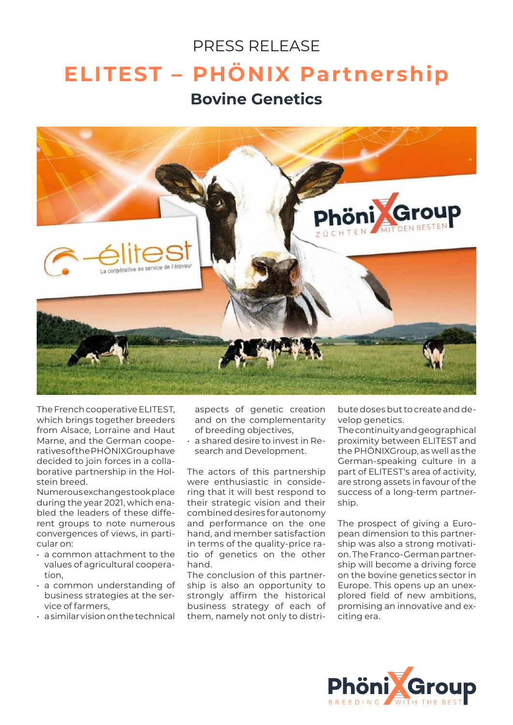## PRESS RELEASE **ELITEST – PHÖNIX Partnership Bovine Genetics**



The French cooperative ELITEST, which brings together breeders from Alsace, Lorraine and Haut Marne, and the German cooperatives of the PHÖNIXGroup have decided to join forces in a collaborative partnership in the Holstein breed.

Numerous exchanges took place during the year 2021, which enabled the leaders of these different groups to note numerous convergences of views, in particular on:

- a common attachment to the values of agricultural cooperation,
- a common understanding of business strategies at the service of farmers,
- $\cdot$  a similar vision on the technical

aspects of genetic creation and on the complementarity of breeding objectives,

• a shared desire to invest in Research and Development.

The actors of this partnership were enthusiastic in considering that it will best respond to their strategic vision and their combined desires for autonomy and performance on the one hand, and member satisfaction in terms of the quality-price ratio of genetics on the other hand.

The conclusion of this partnership is also an opportunity to strongly affirm the historical business strategy of each of them, namely not only to distribute doses but to create and develop genetics.

The continuity and geographical proximity between ELITEST and the PHÖNIXGroup, as well as the German-speaking culture in a part of ELITEST's area of activity, are strong assets in favour of the success of a long-term partnership.

The prospect of giving a European dimension to this partnership was also a strong motivation. The Franco-German partnership will become a driving force on the bovine genetics sector in Europe. This opens up an unexplored field of new ambitions, promising an innovative and exciting era.

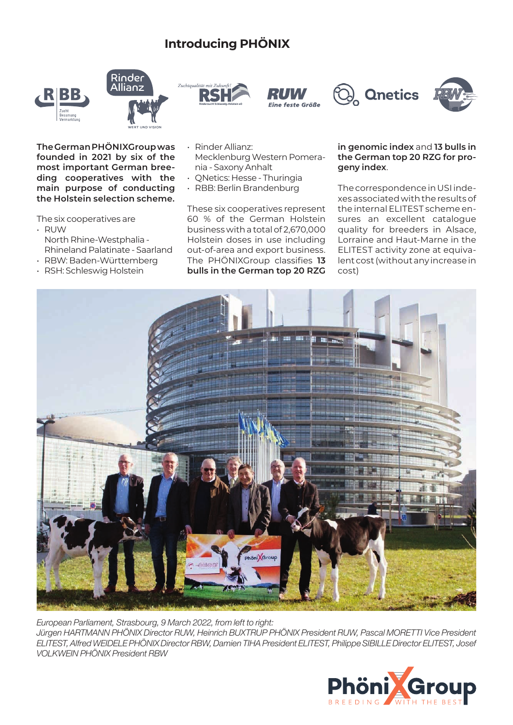## **Introducing PHÖNIX**











**The German PHÖNIXGroup was founded in 2021 by six of the most important German breeding cooperatives with the main purpose of conducting the Holstein selection scheme.**

The six cooperatives are

- RUW North Rhine-Westphalia - Rhineland Palatinate - Saarland
- RBW: Baden-Württemberg
- RSH: Schleswig Holstein
- Rinder Allianz: Mecklenburg Western Pomerania - Saxony Anhalt
- QNetics: Hesse Thuringia
- RBB: Berlin Brandenburg

These six cooperatives represent 60 % of the German Holstein business with a total of 2,670,000 Holstein doses in use including out-of-area and export business. The PHÖNIXGroup classifies **13 bulls in the German top 20 RZG** 

## **in genomic index** and **13 bulls in the German top 20 RZG for progeny index**.

The correspondence in USI indexes associated with the results of the internal ELITEST scheme ensures an excellent catalogue quality for breeders in Alsace, Lorraine and Haut-Marne in the ELITEST activity zone at equivalent cost (without any increase in cost)



*European Parliament, Strasbourg, 9 March 2022, from left to right: Jürgen HARTMANN PHÖNIX Director RUW, Heinrich BUXTRUP PHÖNIX President RUW, Pascal MORETTI Vice President ELITEST, Alfred WEIDELE PHÖNIX Director RBW, Damien TIHA President ELITEST, Philippe SIBILLE Director ELITEST, Josef VOLKWEIN PHÖNIX President RBW*